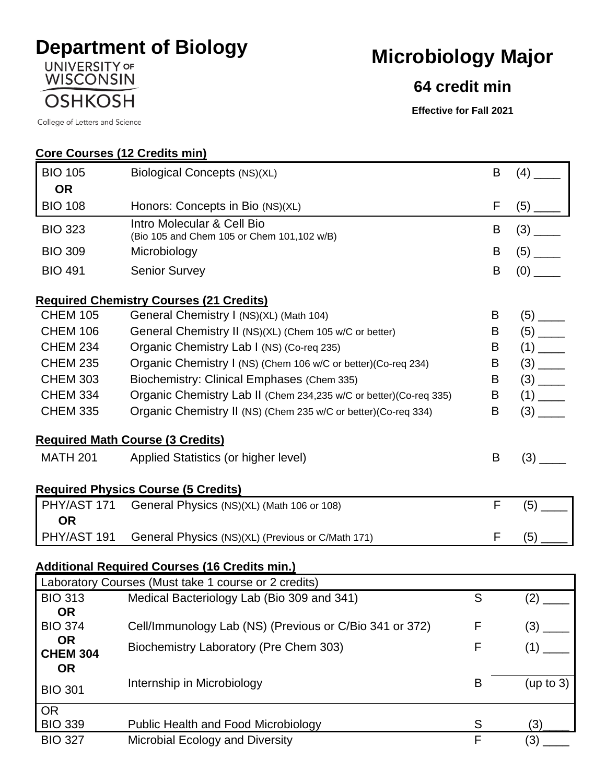## **Department of Biology**<br>
WISCONSIN<br>
WISCONSIN

**Core Courses (12 Credits min)**

**OSHKOSH** 

College of Letters and Science

## **Microbiology Major**

## **64 credit min**

**Effective for Fall 2021**

| <b>BIO 105</b>                            | Biological Concepts (NS)(XL)                                             | B            | (4)                    |
|-------------------------------------------|--------------------------------------------------------------------------|--------------|------------------------|
| <b>OR</b>                                 |                                                                          |              |                        |
| <b>BIO 108</b>                            | Honors: Concepts in Bio (NS)(XL)                                         | F            |                        |
| <b>BIO 323</b>                            | Intro Molecular & Cell Bio<br>(Bio 105 and Chem 105 or Chem 101,102 w/B) | B            |                        |
| <b>BIO 309</b>                            | Microbiology                                                             | B            |                        |
| <b>BIO 491</b>                            | <b>Senior Survey</b>                                                     | B            |                        |
|                                           | <b>Required Chemistry Courses (21 Credits)</b>                           |              |                        |
| <b>CHEM 105</b>                           | General Chemistry I (NS)(XL) (Math 104)                                  | B            |                        |
| <b>CHEM 106</b>                           | General Chemistry II (NS)(XL) (Chem 105 w/C or better)                   | Β            | $(5)$ <sub>_____</sub> |
| <b>CHEM 234</b>                           | Organic Chemistry Lab I (NS) (Co-req 235)                                | B            |                        |
| <b>CHEM 235</b>                           | Organic Chemistry I (NS) (Chem 106 w/C or better) (Co-req 234)           | B            |                        |
| <b>CHEM 303</b>                           | Biochemistry: Clinical Emphases (Chem 335)                               | B            |                        |
| <b>CHEM 334</b>                           | Organic Chemistry Lab II (Chem 234,235 w/C or better) (Co-req 335)       | B            | $(1)$ <sub>____</sub>  |
| <b>CHEM 335</b>                           | Organic Chemistry II (NS) (Chem 235 w/C or better) (Co-req 334)          | B            |                        |
|                                           | <b>Required Math Course (3 Credits)</b>                                  |              |                        |
| <b>MATH 201</b>                           | Applied Statistics (or higher level)                                     | B            |                        |
|                                           | <b>Required Physics Course (5 Credits)</b>                               |              |                        |
| PHY/AST 171<br><b>OR</b>                  | General Physics (NS)(XL) (Math 106 or 108)                               | $\mathsf{F}$ |                        |
| PHY/AST 191                               | General Physics (NS)(XL) (Previous or C/Math 171)                        | F            | (5)                    |
|                                           | <b>Additional Required Courses (16 Credits min.)</b>                     |              |                        |
|                                           | Laboratory Courses (Must take 1 course or 2 credits)                     |              |                        |
| <b>BIO 313</b><br><b>OR</b>               | Medical Bacteriology Lab (Bio 309 and 341)                               | S            | (2)                    |
| <b>BIO 374</b>                            | Cell/Immunology Lab (NS) (Previous or C/Bio 341 or 372)                  | F            |                        |
| <b>OR</b><br><b>CHEM 304</b><br><b>OR</b> | Biochemistry Laboratory (Pre Chem 303)                                   | F            |                        |
| <b>BIO 301</b>                            | Internship in Microbiology                                               | B            | (up to 3)              |
| <b>OR</b><br><b>BIO 339</b>               | <b>Public Health and Food Microbiology</b>                               | S            | (3)                    |
| <b>BIO 327</b>                            | Microbial Ecology and Diversity                                          | F            | (3)                    |
|                                           |                                                                          |              |                        |